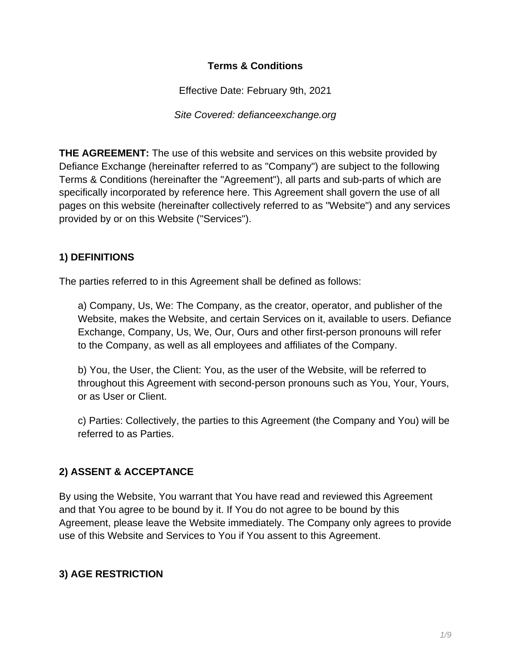#### **Terms & Conditions**

Effective Date: February 9th, 2021

Site Covered: defianceexchange.org

**THE AGREEMENT:** The use of this website and services on this website provided by Defiance Exchange (hereinafter referred to as "Company") are subject to the following Terms & Conditions (hereinafter the "Agreement"), all parts and sub-parts of which are specifically incorporated by reference here. This Agreement shall govern the use of all pages on this website (hereinafter collectively referred to as "Website") and any services provided by or on this Website ("Services").

## **1) DEFINITIONS**

The parties referred to in this Agreement shall be defined as follows:

a) Company, Us, We: The Company, as the creator, operator, and publisher of the Website, makes the Website, and certain Services on it, available to users. Defiance Exchange, Company, Us, We, Our, Ours and other first-person pronouns will refer to the Company, as well as all employees and affiliates of the Company.

b) You, the User, the Client: You, as the user of the Website, will be referred to throughout this Agreement with second-person pronouns such as You, Your, Yours, or as User or Client.

c) Parties: Collectively, the parties to this Agreement (the Company and You) will be referred to as Parties.

## **2) ASSENT & ACCEPTANCE**

By using the Website, You warrant that You have read and reviewed this Agreement and that You agree to be bound by it. If You do not agree to be bound by this Agreement, please leave the Website immediately. The Company only agrees to provide use of this Website and Services to You if You assent to this Agreement.

## **3) AGE RESTRICTION**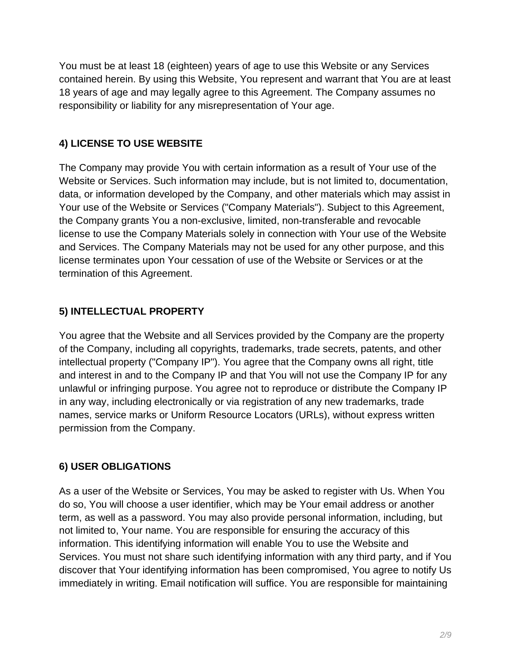You must be at least 18 (eighteen) years of age to use this Website or any Services contained herein. By using this Website, You represent and warrant that You are at least 18 years of age and may legally agree to this Agreement. The Company assumes no responsibility or liability for any misrepresentation of Your age.

# **4) LICENSE TO USE WEBSITE**

The Company may provide You with certain information as a result of Your use of the Website or Services. Such information may include, but is not limited to, documentation, data, or information developed by the Company, and other materials which may assist in Your use of the Website or Services ("Company Materials"). Subject to this Agreement, the Company grants You a non-exclusive, limited, non-transferable and revocable license to use the Company Materials solely in connection with Your use of the Website and Services. The Company Materials may not be used for any other purpose, and this license terminates upon Your cessation of use of the Website or Services or at the termination of this Agreement.

# **5) INTELLECTUAL PROPERTY**

You agree that the Website and all Services provided by the Company are the property of the Company, including all copyrights, trademarks, trade secrets, patents, and other intellectual property ("Company IP"). You agree that the Company owns all right, title and interest in and to the Company IP and that You will not use the Company IP for any unlawful or infringing purpose. You agree not to reproduce or distribute the Company IP in any way, including electronically or via registration of any new trademarks, trade names, service marks or Uniform Resource Locators (URLs), without express written permission from the Company.

# **6) USER OBLIGATIONS**

As a user of the Website or Services, You may be asked to register with Us. When You do so, You will choose a user identifier, which may be Your email address or another term, as well as a password. You may also provide personal information, including, but not limited to, Your name. You are responsible for ensuring the accuracy of this information. This identifying information will enable You to use the Website and Services. You must not share such identifying information with any third party, and if You discover that Your identifying information has been compromised, You agree to notify Us immediately in writing. Email notification will suffice. You are responsible for maintaining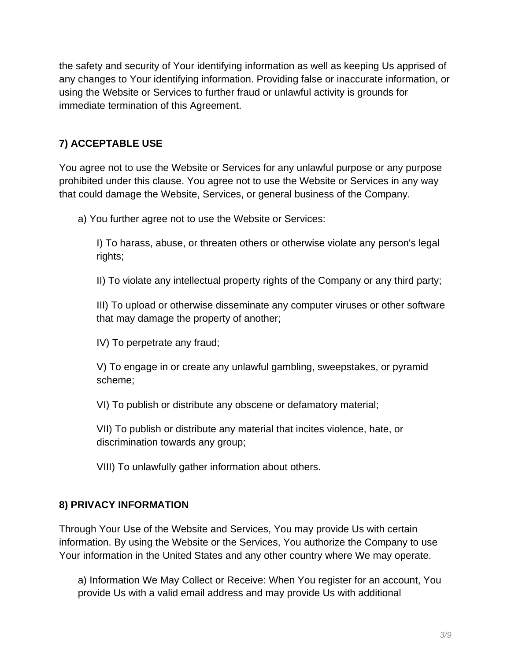the safety and security of Your identifying information as well as keeping Us apprised of any changes to Your identifying information. Providing false or inaccurate information, or using the Website or Services to further fraud or unlawful activity is grounds for immediate termination of this Agreement.

# **7) ACCEPTABLE USE**

You agree not to use the Website or Services for any unlawful purpose or any purpose prohibited under this clause. You agree not to use the Website or Services in any way that could damage the Website, Services, or general business of the Company.

a) You further agree not to use the Website or Services:

I) To harass, abuse, or threaten others or otherwise violate any person's legal rights;

II) To violate any intellectual property rights of the Company or any third party;

III) To upload or otherwise disseminate any computer viruses or other software that may damage the property of another;

IV) To perpetrate any fraud;

V) To engage in or create any unlawful gambling, sweepstakes, or pyramid scheme;

VI) To publish or distribute any obscene or defamatory material;

VII) To publish or distribute any material that incites violence, hate, or discrimination towards any group;

VIII) To unlawfully gather information about others.

## **8) PRIVACY INFORMATION**

Through Your Use of the Website and Services, You may provide Us with certain information. By using the Website or the Services, You authorize the Company to use Your information in the United States and any other country where We may operate.

a) Information We May Collect or Receive: When You register for an account, You provide Us with a valid email address and may provide Us with additional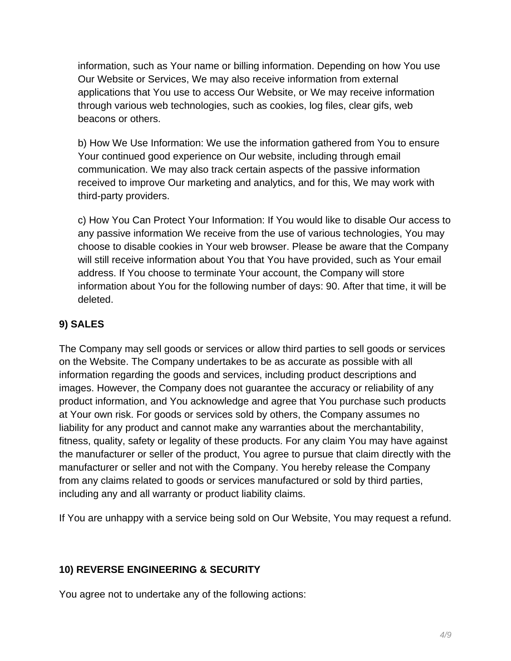information, such as Your name or billing information. Depending on how You use Our Website or Services, We may also receive information from external applications that You use to access Our Website, or We may receive information through various web technologies, such as cookies, log files, clear gifs, web beacons or others.

b) How We Use Information: We use the information gathered from You to ensure Your continued good experience on Our website, including through email communication. We may also track certain aspects of the passive information received to improve Our marketing and analytics, and for this, We may work with third-party providers.

c) How You Can Protect Your Information: If You would like to disable Our access to any passive information We receive from the use of various technologies, You may choose to disable cookies in Your web browser. Please be aware that the Company will still receive information about You that You have provided, such as Your email address. If You choose to terminate Your account, the Company will store information about You for the following number of days: 90. After that time, it will be deleted.

# **9) SALES**

The Company may sell goods or services or allow third parties to sell goods or services on the Website. The Company undertakes to be as accurate as possible with all information regarding the goods and services, including product descriptions and images. However, the Company does not guarantee the accuracy or reliability of any product information, and You acknowledge and agree that You purchase such products at Your own risk. For goods or services sold by others, the Company assumes no liability for any product and cannot make any warranties about the merchantability, fitness, quality, safety or legality of these products. For any claim You may have against the manufacturer or seller of the product, You agree to pursue that claim directly with the manufacturer or seller and not with the Company. You hereby release the Company from any claims related to goods or services manufactured or sold by third parties, including any and all warranty or product liability claims.

If You are unhappy with a service being sold on Our Website, You may request a refund.

## **10) REVERSE ENGINEERING & SECURITY**

You agree not to undertake any of the following actions: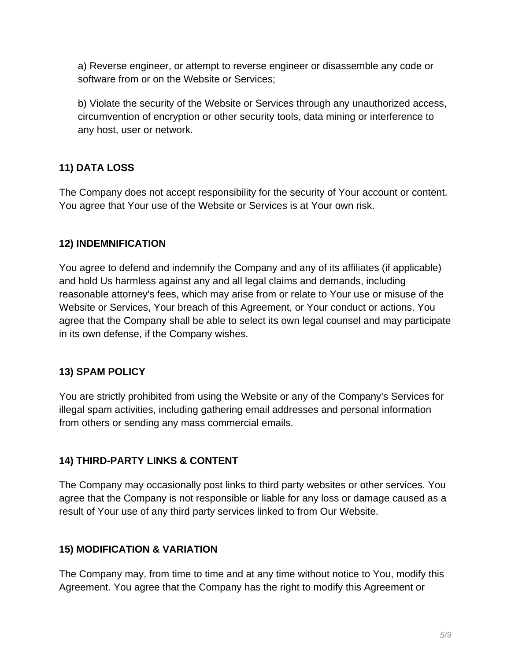a) Reverse engineer, or attempt to reverse engineer or disassemble any code or software from or on the Website or Services;

b) Violate the security of the Website or Services through any unauthorized access, circumvention of encryption or other security tools, data mining or interference to any host, user or network.

# **11) DATA LOSS**

The Company does not accept responsibility for the security of Your account or content. You agree that Your use of the Website or Services is at Your own risk.

#### **12) INDEMNIFICATION**

You agree to defend and indemnify the Company and any of its affiliates (if applicable) and hold Us harmless against any and all legal claims and demands, including reasonable attorney's fees, which may arise from or relate to Your use or misuse of the Website or Services, Your breach of this Agreement, or Your conduct or actions. You agree that the Company shall be able to select its own legal counsel and may participate in its own defense, if the Company wishes.

## **13) SPAM POLICY**

You are strictly prohibited from using the Website or any of the Company's Services for illegal spam activities, including gathering email addresses and personal information from others or sending any mass commercial emails.

## **14) THIRD-PARTY LINKS & CONTENT**

The Company may occasionally post links to third party websites or other services. You agree that the Company is not responsible or liable for any loss or damage caused as a result of Your use of any third party services linked to from Our Website.

#### **15) MODIFICATION & VARIATION**

The Company may, from time to time and at any time without notice to You, modify this Agreement. You agree that the Company has the right to modify this Agreement or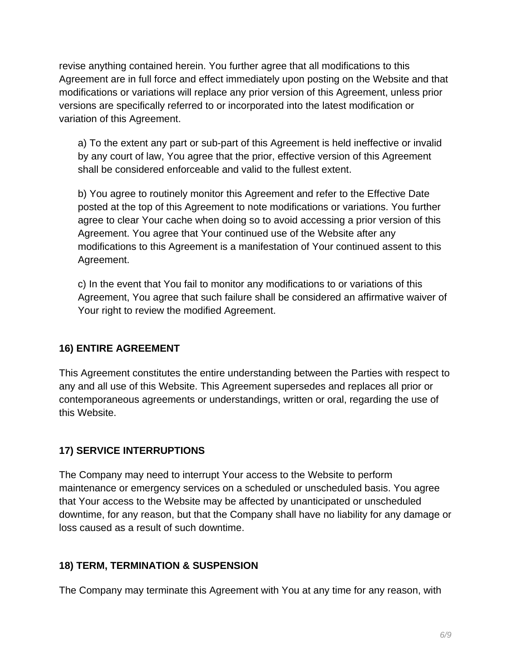revise anything contained herein. You further agree that all modifications to this Agreement are in full force and effect immediately upon posting on the Website and that modifications or variations will replace any prior version of this Agreement, unless prior versions are specifically referred to or incorporated into the latest modification or variation of this Agreement.

a) To the extent any part or sub-part of this Agreement is held ineffective or invalid by any court of law, You agree that the prior, effective version of this Agreement shall be considered enforceable and valid to the fullest extent.

b) You agree to routinely monitor this Agreement and refer to the Effective Date posted at the top of this Agreement to note modifications or variations. You further agree to clear Your cache when doing so to avoid accessing a prior version of this Agreement. You agree that Your continued use of the Website after any modifications to this Agreement is a manifestation of Your continued assent to this Agreement.

c) In the event that You fail to monitor any modifications to or variations of this Agreement, You agree that such failure shall be considered an affirmative waiver of Your right to review the modified Agreement.

## **16) ENTIRE AGREEMENT**

This Agreement constitutes the entire understanding between the Parties with respect to any and all use of this Website. This Agreement supersedes and replaces all prior or contemporaneous agreements or understandings, written or oral, regarding the use of this Website.

## **17) SERVICE INTERRUPTIONS**

The Company may need to interrupt Your access to the Website to perform maintenance or emergency services on a scheduled or unscheduled basis. You agree that Your access to the Website may be affected by unanticipated or unscheduled downtime, for any reason, but that the Company shall have no liability for any damage or loss caused as a result of such downtime.

#### **18) TERM, TERMINATION & SUSPENSION**

The Company may terminate this Agreement with You at any time for any reason, with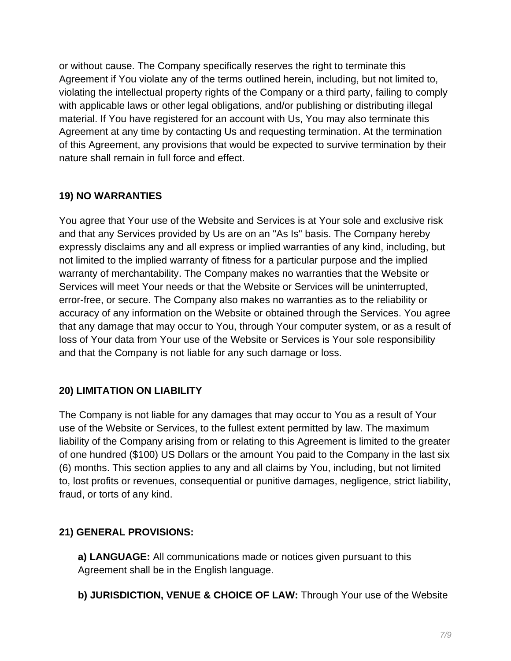or without cause. The Company specifically reserves the right to terminate this Agreement if You violate any of the terms outlined herein, including, but not limited to, violating the intellectual property rights of the Company or a third party, failing to comply with applicable laws or other legal obligations, and/or publishing or distributing illegal material. If You have registered for an account with Us, You may also terminate this Agreement at any time by contacting Us and requesting termination. At the termination of this Agreement, any provisions that would be expected to survive termination by their nature shall remain in full force and effect.

# **19) NO WARRANTIES**

You agree that Your use of the Website and Services is at Your sole and exclusive risk and that any Services provided by Us are on an "As Is" basis. The Company hereby expressly disclaims any and all express or implied warranties of any kind, including, but not limited to the implied warranty of fitness for a particular purpose and the implied warranty of merchantability. The Company makes no warranties that the Website or Services will meet Your needs or that the Website or Services will be uninterrupted, error-free, or secure. The Company also makes no warranties as to the reliability or accuracy of any information on the Website or obtained through the Services. You agree that any damage that may occur to You, through Your computer system, or as a result of loss of Your data from Your use of the Website or Services is Your sole responsibility and that the Company is not liable for any such damage or loss.

## **20) LIMITATION ON LIABILITY**

The Company is not liable for any damages that may occur to You as a result of Your use of the Website or Services, to the fullest extent permitted by law. The maximum liability of the Company arising from or relating to this Agreement is limited to the greater of one hundred (\$100) US Dollars or the amount You paid to the Company in the last six (6) months. This section applies to any and all claims by You, including, but not limited to, lost profits or revenues, consequential or punitive damages, negligence, strict liability, fraud, or torts of any kind.

## **21) GENERAL PROVISIONS:**

**a) LANGUAGE:** All communications made or notices given pursuant to this Agreement shall be in the English language.

**b) JURISDICTION, VENUE & CHOICE OF LAW:** Through Your use of the Website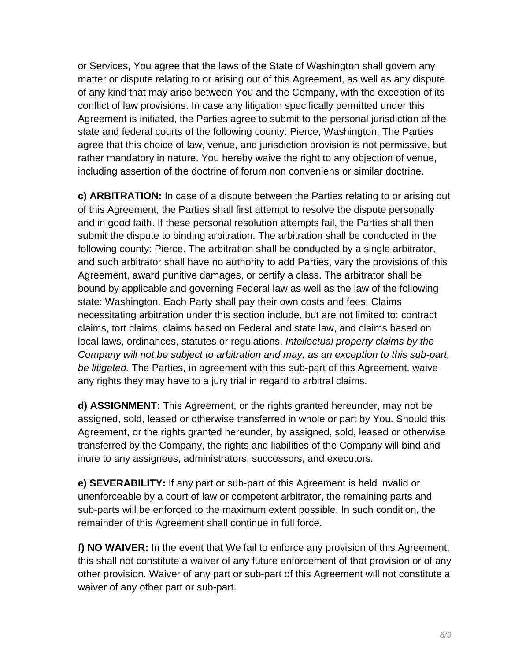or Services, You agree that the laws of the State of Washington shall govern any matter or dispute relating to or arising out of this Agreement, as well as any dispute of any kind that may arise between You and the Company, with the exception of its conflict of law provisions. In case any litigation specifically permitted under this Agreement is initiated, the Parties agree to submit to the personal jurisdiction of the state and federal courts of the following county: Pierce, Washington. The Parties agree that this choice of law, venue, and jurisdiction provision is not permissive, but rather mandatory in nature. You hereby waive the right to any objection of venue, including assertion of the doctrine of forum non conveniens or similar doctrine.

**c) ARBITRATION:** In case of a dispute between the Parties relating to or arising out of this Agreement, the Parties shall first attempt to resolve the dispute personally and in good faith. If these personal resolution attempts fail, the Parties shall then submit the dispute to binding arbitration. The arbitration shall be conducted in the following county: Pierce. The arbitration shall be conducted by a single arbitrator, and such arbitrator shall have no authority to add Parties, vary the provisions of this Agreement, award punitive damages, or certify a class. The arbitrator shall be bound by applicable and governing Federal law as well as the law of the following state: Washington. Each Party shall pay their own costs and fees. Claims necessitating arbitration under this section include, but are not limited to: contract claims, tort claims, claims based on Federal and state law, and claims based on local laws, ordinances, statutes or regulations. Intellectual property claims by the Company will not be subject to arbitration and may, as an exception to this sub-part, be *litigated*. The Parties, in agreement with this sub-part of this Agreement, waive any rights they may have to a jury trial in regard to arbitral claims.

**d) ASSIGNMENT:** This Agreement, or the rights granted hereunder, may not be assigned, sold, leased or otherwise transferred in whole or part by You. Should this Agreement, or the rights granted hereunder, by assigned, sold, leased or otherwise transferred by the Company, the rights and liabilities of the Company will bind and inure to any assignees, administrators, successors, and executors.

**e) SEVERABILITY:** If any part or sub-part of this Agreement is held invalid or unenforceable by a court of law or competent arbitrator, the remaining parts and sub-parts will be enforced to the maximum extent possible. In such condition, the remainder of this Agreement shall continue in full force.

**f) NO WAIVER:** In the event that We fail to enforce any provision of this Agreement, this shall not constitute a waiver of any future enforcement of that provision or of any other provision. Waiver of any part or sub-part of this Agreement will not constitute a waiver of any other part or sub-part.